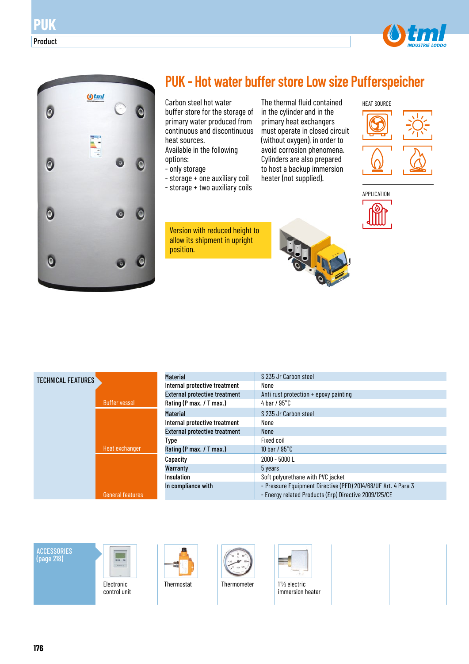

**PUK**

Product

## **PUK - Hot water buffer store Low size Pufferspeicher**

The thermal fluid contained in the cylinder and in the primary heat exchangers must operate in closed circuit (without oxygen), in order to avoid corrosion phenomena. Cylinders are also prepared to host a backup immersion heater (not supplied).

Carbon steel hot water buffer store for the storage of primary water produced from continuous and discontinuous heat sources. Available in the following options:

- only storage
- storage + one auxiliary coil
- storage + two auxiliary coils

Version with reduced height to allow its shipment in upright position.





| TECHNICAL FEATURES |                         | <b>Material</b>      |
|--------------------|-------------------------|----------------------|
|                    |                         | Internal prote       |
|                    |                         | <b>External prot</b> |
|                    | <b>Buffer vessel</b>    | Rating (P max        |
|                    |                         | <b>Material</b>      |
|                    |                         | Internal prote       |
|                    |                         | <b>External prot</b> |
|                    |                         | Type                 |
|                    | Heat exchanger          | Rating (P max        |
|                    |                         | Capacity             |
|                    |                         | Warranty             |
|                    |                         | Insulation           |
|                    |                         | In complianc         |
|                    | <b>General features</b> |                      |

| <b>Material</b>                      | S 235 Jr Carbon steel                                                                                                  |
|--------------------------------------|------------------------------------------------------------------------------------------------------------------------|
| Internal protective treatment        | None                                                                                                                   |
| <b>External protective treatment</b> | Anti rust protection $+$ epoxy painting                                                                                |
| Rating (P max. / T max.)             | 4 bar / $95^{\circ}$ C                                                                                                 |
| <b>Material</b>                      | S 235 Jr Carbon steel                                                                                                  |
| Internal protective treatment        | None                                                                                                                   |
| <b>External protective treatment</b> | <b>None</b>                                                                                                            |
| Type                                 | Fixed coil                                                                                                             |
| Rating (P max. / T max.)             | 10 bar / $95^{\circ}$ C                                                                                                |
| Capacity                             | $2000 - 5000$ L                                                                                                        |
| Warranty                             | 5 years                                                                                                                |
| Insulation                           | Soft polyurethane with PVC jacket                                                                                      |
| In compliance with                   | - Pressure Equipment Directive (PED) 2014/68/UE Art. 4 Para 3<br>- Energy related Products (Erp) Directive 2009/125/CE |

**ACCESSORIES** (page 218)











immersion heater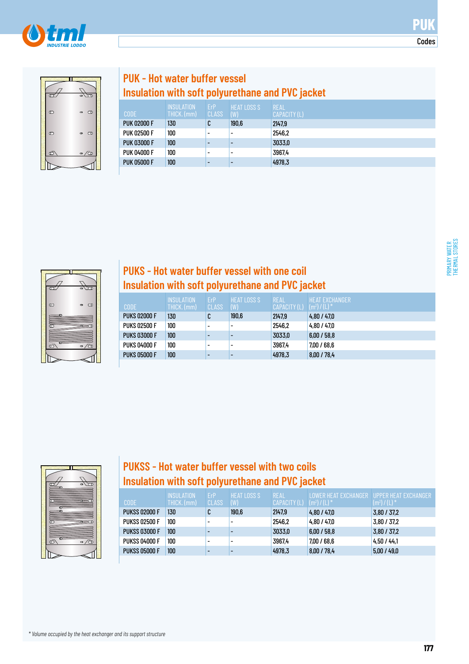



## **PUK - Hot water buffer vessel Insulation with soft polyurethane and PVC jacket**

| <b>CODE</b>        | <b>INSULATION</b><br>THICK. (mm) | ErP<br>CLASS             | <b>HEAT LOSS S</b> '<br>(W) | <b>REAL</b><br><b>CAPACITY (L)</b> |
|--------------------|----------------------------------|--------------------------|-----------------------------|------------------------------------|
| <b>PUK 02000 F</b> | 130                              | C                        | 190,6                       | 2147.9                             |
| <b>PUK 02500 F</b> | 100                              | $\overline{\phantom{0}}$ | $\overline{\phantom{0}}$    | 2546.2                             |
| <b>PUK 03000 F</b> | 100                              | $\overline{\phantom{0}}$ |                             | 3033,0                             |
| <b>PUK 04000 F</b> | 100                              | $\overline{\phantom{0}}$ | $\overline{\phantom{0}}$    | 3967.4                             |
| <b>PUK 05000 F</b> | 100 <sub>1</sub>                 | $\overline{\phantom{0}}$ |                             | 4978,3                             |



#### **PUKS - Hot water buffer vessel with one coil Insulation with soft polyurethane and PVC jacket**

| <b>CODE</b>         | <b>INSULATION</b><br>THICK. (mm) | ErP<br>CLASS             | <b>HEAT LOSS S</b><br>(W) | <b>REAL</b><br>CAPACITY (L) | <b>HEAT EXCHANGER</b><br>$(m^2) / (L)^*$ |
|---------------------|----------------------------------|--------------------------|---------------------------|-----------------------------|------------------------------------------|
| <b>PUKS 02000 F</b> | 130                              | C                        | 190,6                     | 2147,9                      | 4,80 / 47.0                              |
| <b>PUKS 02500 F</b> | 100                              |                          |                           | 2546.2                      | 4,80 / 47.0                              |
| <b>PUKS 03000 F</b> | 100                              |                          |                           | 3033,0                      | 6.00 / 58.8                              |
| <b>PUKS 04000 F</b> | 100                              | $\overline{\phantom{0}}$ | ۰                         | 3967.4                      | 7.00 / 68.6                              |
| <b>PUKS 05000 F</b> | 100                              |                          |                           | 4978.3                      | 8.00 / 78.4                              |



### **PUKSS - Hot water buffer vessel with two coils Insulation with soft polyurethane and PVC jacket**

| <b>CODE</b>          | <b>INSULATION</b><br>THICK. (mm) | ErP<br>CLASS             | <b>HEAT LOSS S</b><br>(W) | <b>REAL</b><br>CAPACITY (L) | I OWER HEAT FXCHANGER.<br>$(m^2) / (L)^*$ | <b>UPPER HEAT EXCHANGER</b><br>$(m^2) / (L)^*$ |
|----------------------|----------------------------------|--------------------------|---------------------------|-----------------------------|-------------------------------------------|------------------------------------------------|
| <b>PUKSS 02000 F</b> | 130                              | C                        | 190,6                     | 2147.9                      | 4,80/47,0                                 | 3,80/37,2                                      |
| <b>PUKSS 02500 F</b> | 100                              | $\overline{\phantom{0}}$ |                           | 2546.2                      | 4.80 / 47.0                               | 3,80 / 37,2                                    |
| <b>PUKSS 03000 F</b> | 100                              | $\overline{\phantom{0}}$ |                           | 3033,0                      | 6.00 / 58.8                               | 3,80/37,2                                      |
| <b>PUKSS 04000 F</b> | 100                              | $\overline{\phantom{0}}$ |                           | 3967.4                      | 7.00 / 68.6                               | 4.50 / 44.1                                    |
| <b>PUKSS 05000 F</b> | 100                              | $\overline{\phantom{0}}$ |                           | 4978.3                      | 8,00 / 78,4                               | 5,00/49,0                                      |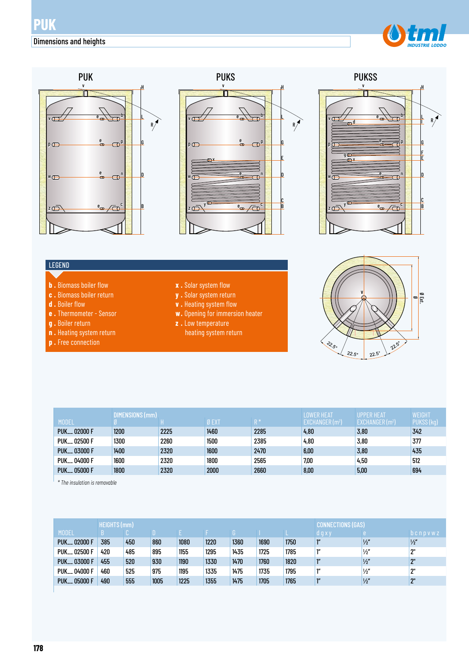







#### LEGEND

- **b .** Biomass boiler flow
- **c .** Biomass boiler return
- **d .** Boiler flow
- **e .** Thermometer Sensor
- **g .** Boiler return
- **n .** Heating system return
- **p .** Free connection
- **x .** Solar system flow
- **y .** Solar system return
- **v .** Heating system flow
- **w.** Opening for immersion heater
- **z .** Low temperature
	- heating system return



|                           | DIMENSIONS (mm) |      |             | <b>LOWER HEAT</b> | <b>UPPER HEAT</b>             | <b>WEIGHT</b>                |            |
|---------------------------|-----------------|------|-------------|-------------------|-------------------------------|------------------------------|------------|
| <b>MODEL</b>              |                 |      | <b>ØEXT</b> | $R^*$             | $EXCHANGER$ (m <sup>2</sup> ) | EXCHANGER (m <sup>2</sup> ), | PUKSS (kg) |
| <b>PUK__ 02000 F</b>      | 1200            | 2225 | 1460        | 2285              | 4,80                          | 3,80                         | 342        |
| PUK__ 02500 F             | 1300            | 2260 | 1500        | 2385              | 4,80                          | 3,80                         | 377        |
| PUK <sub>--</sub> 03000 F | 1400            | 2320 | 1600        | 2470              | 6,00                          | 3,80                         | 435        |
| <b>PUK__ 04000 F</b>      | 1600            | 2320 | 1800        | 2565              | 7,00                          | 4,50                         | 512        |
| <b>PUK__ 05000 F</b>      | 1800            | 2320 | 2000        | 2660              | 8,00                          | 5,00                         | 694        |

*\* The insulation is removable*

|                         | <b>HEIGHTS (mm)</b> |     |      |      | IECTIONS (GAS) |      |      |      |                 |               |                 |
|-------------------------|---------------------|-----|------|------|----------------|------|------|------|-----------------|---------------|-----------------|
| <b>MODEL</b>            |                     |     |      |      |                |      |      |      | d g x y         |               | $b$ c n p v w z |
| <b>PUK_02000 F</b>      | 385                 | 450 | 860  | 1080 | 1220           | 1360 | 1690 | 1750 | 1''             | $\frac{1}{2}$ | $\frac{1}{2}$   |
| PUK <sub>-02500</sub> F | 420                 | 485 | 895  | 1155 | 1295           | 1435 | 1725 | 1785 | ľ"              | $\frac{1}{2}$ | ን"              |
| PUK <sub>-03000</sub> F | 455                 | 520 | 930  | 1190 | 1330           | 1470 | 1760 | 1820 | 1 <sup>''</sup> | $\frac{1}{2}$ | 2"              |
| PUK <sub>-04000</sub> F | 460                 | 525 | 975  | 1195 | 1335           | 1475 | 1735 | 1795 | 1''             | $\frac{1}{2}$ | ን"              |
| <b>PUK__ 05000 F</b>    | 490                 | 555 | 1005 | 1225 | 1355           | 1475 | 1705 | 1765 | 1 <sup>''</sup> | $\frac{1}{2}$ | 2"              |
|                         |                     |     |      |      |                |      |      |      |                 |               |                 |